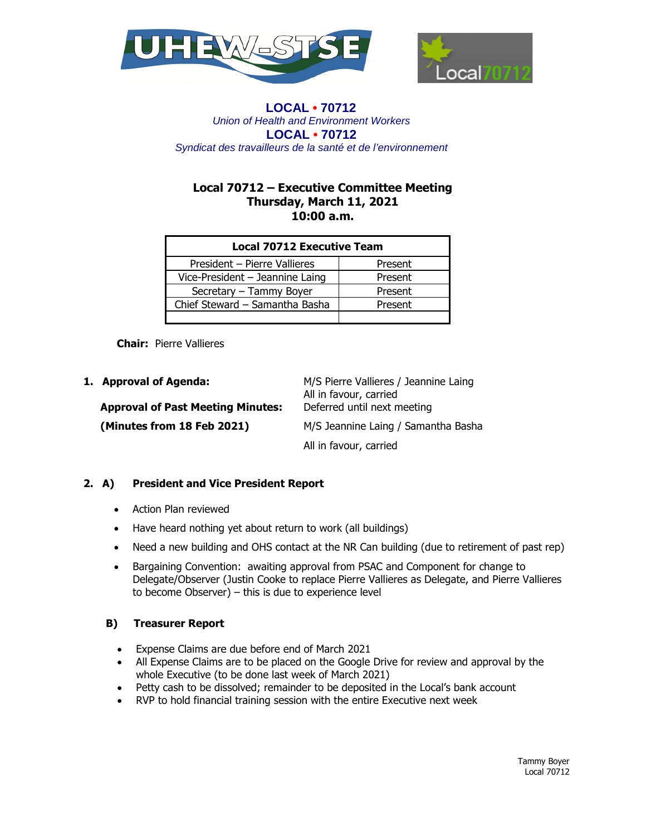



# **Local 70712 – Executive Committee Meeting Thursday, March 11, 2021 10:00 a.m.**

| <b>Local 70712 Executive Team</b> |         |
|-----------------------------------|---------|
| President - Pierre Vallieres      | Present |
| Vice-President - Jeannine Laing   | Present |
| Secretary - Tammy Boyer           | Present |
| Chief Steward - Samantha Basha    | Present |
|                                   |         |

**Chair:** Pierre Vallieres

| 1. Approval of Agenda:                                            | M/S Pierre Vallieres / Jeannine Laing<br>All in favour, carried |
|-------------------------------------------------------------------|-----------------------------------------------------------------|
| <b>Approval of Past Meeting Minutes:</b>                          | Deferred until next meeting                                     |
| (Minutes from 18 Feb 2021)<br>M/S Jeannine Laing / Samantha Basha |                                                                 |
|                                                                   | All in favour, carried                                          |

# **2. A) President and Vice President Report**

- Action Plan reviewed
- Have heard nothing yet about return to work (all buildings)
- Need a new building and OHS contact at the NR Can building (due to retirement of past rep)
- Bargaining Convention: awaiting approval from PSAC and Component for change to Delegate/Observer (Justin Cooke to replace Pierre Vallieres as Delegate, and Pierre Vallieres to become Observer) – this is due to experience level

### **B) Treasurer Report**

- Expense Claims are due before end of March 2021
- All Expense Claims are to be placed on the Google Drive for review and approval by the whole Executive (to be done last week of March 2021)
- Petty cash to be dissolved; remainder to be deposited in the Local's bank account
- RVP to hold financial training session with the entire Executive next week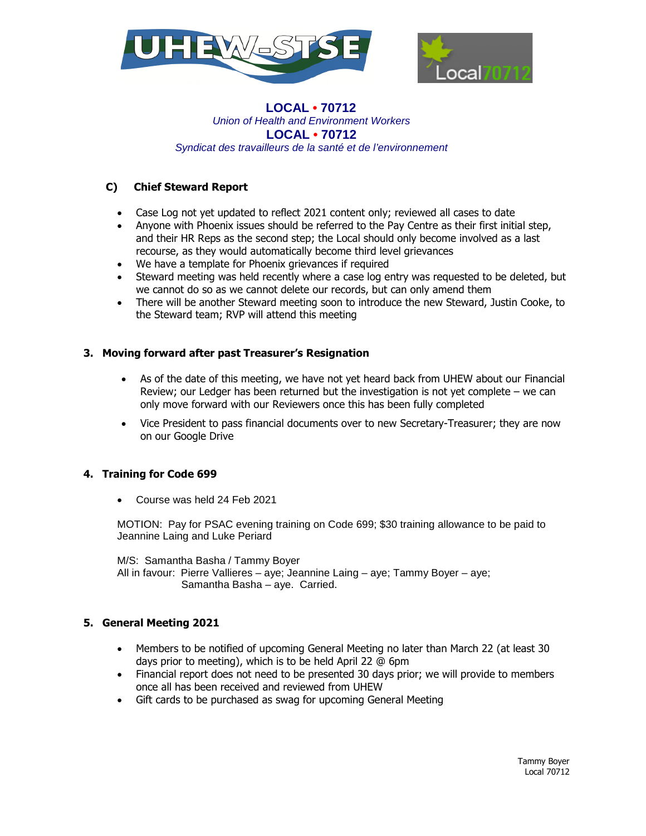



## **C) Chief Steward Report**

- Case Log not yet updated to reflect 2021 content only; reviewed all cases to date
- Anyone with Phoenix issues should be referred to the Pay Centre as their first initial step, and their HR Reps as the second step; the Local should only become involved as a last recourse, as they would automatically become third level grievances
- We have a template for Phoenix grievances if required
- Steward meeting was held recently where a case log entry was requested to be deleted, but we cannot do so as we cannot delete our records, but can only amend them
- There will be another Steward meeting soon to introduce the new Steward, Justin Cooke, to the Steward team; RVP will attend this meeting

#### **3. Moving forward after past Treasurer's Resignation**

- As of the date of this meeting, we have not yet heard back from UHEW about our Financial Review; our Ledger has been returned but the investigation is not yet complete – we can only move forward with our Reviewers once this has been fully completed
- Vice President to pass financial documents over to new Secretary-Treasurer; they are now on our Google Drive

### **4. Training for Code 699**

Course was held 24 Feb 2021

MOTION: Pay for PSAC evening training on Code 699; \$30 training allowance to be paid to Jeannine Laing and Luke Periard

M/S: Samantha Basha / Tammy Boyer

All in favour: Pierre Vallieres – aye; Jeannine Laing – aye; Tammy Boyer – aye; Samantha Basha – aye. Carried.

### **5. General Meeting 2021**

- Members to be notified of upcoming General Meeting no later than March 22 (at least 30 days prior to meeting), which is to be held April 22 @ 6pm
- Financial report does not need to be presented 30 days prior; we will provide to members once all has been received and reviewed from UHEW
- Gift cards to be purchased as swag for upcoming General Meeting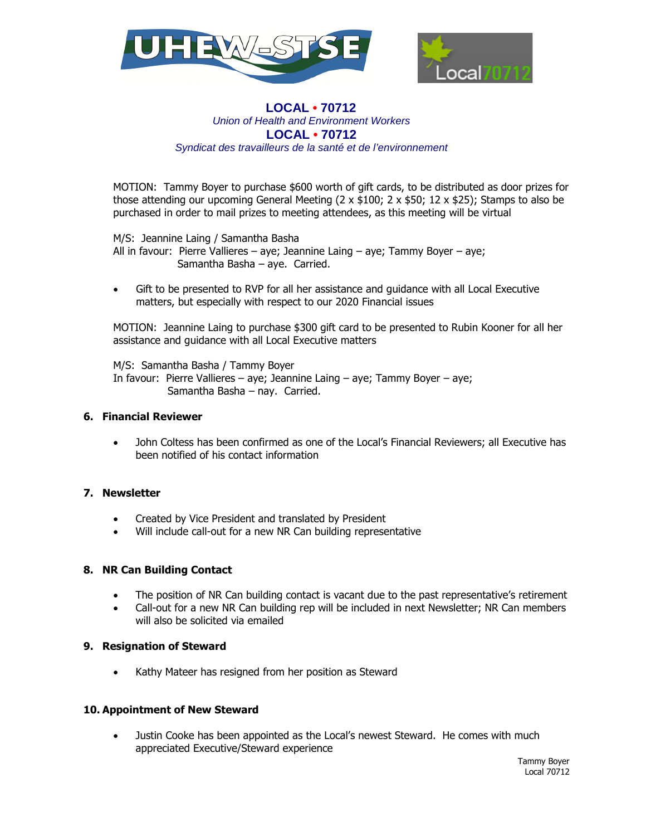



MOTION: Tammy Boyer to purchase \$600 worth of gift cards, to be distributed as door prizes for those attending our upcoming General Meeting  $(2 \times $100; 2 \times $50; 12 \times $25)$ ; Stamps to also be purchased in order to mail prizes to meeting attendees, as this meeting will be virtual

M/S: Jeannine Laing / Samantha Basha

All in favour: Pierre Vallieres – aye; Jeannine Laing – aye; Tammy Boyer – aye; Samantha Basha – aye. Carried.

 Gift to be presented to RVP for all her assistance and guidance with all Local Executive matters, but especially with respect to our 2020 Financial issues

MOTION: Jeannine Laing to purchase \$300 gift card to be presented to Rubin Kooner for all her assistance and guidance with all Local Executive matters

M/S: Samantha Basha / Tammy Boyer

In favour: Pierre Vallieres – aye; Jeannine Laing – aye; Tammy Boyer – aye; Samantha Basha – nay. Carried.

### **6. Financial Reviewer**

 John Coltess has been confirmed as one of the Local's Financial Reviewers; all Executive has been notified of his contact information

# **7. Newsletter**

- Created by Vice President and translated by President
- Will include call-out for a new NR Can building representative

# **8. NR Can Building Contact**

- The position of NR Can building contact is vacant due to the past representative's retirement
- Call-out for a new NR Can building rep will be included in next Newsletter; NR Can members will also be solicited via emailed

### **9. Resignation of Steward**

Kathy Mateer has resigned from her position as Steward

### **10. Appointment of New Steward**

 Justin Cooke has been appointed as the Local's newest Steward. He comes with much appreciated Executive/Steward experience